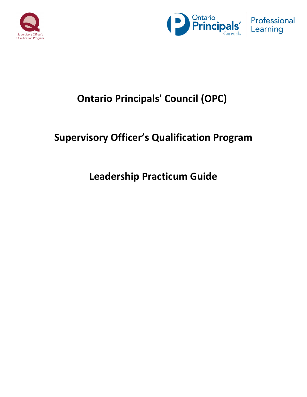



## **Ontario Principals' Council (OPC)**

## **Supervisory Officer's Qualification Program**

## **Leadership Practicum Guide**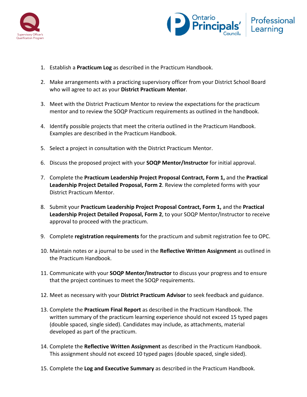



- 1. Establish a **Practicum Log** as described in the Practicum Handbook.
- 2. Make arrangements with a practicing supervisory officer from your District School Board who will agree to act as your **District Practicum Mentor.**
- 3. Meet with the District Practicum Mentor to review the expectations for the practicum mentor and to review the SOQP Practicum requirements as outlined in the handbook.
- 4. Identify possible projects that meet the criteria outlined in the Practicum Handbook. Examples are described in the Practicum Handbook.
- 5. Select a project in consultation with the District Practicum Mentor.
- 6. Discuss the proposed project with your **SOQP Mentor/Instructor** for initial approval.
- 7. Complete the Practicum Leadership Project Proposal Contract, Form 1, and the Practical Leadership Project Detailed Proposal, Form 2. Review the completed forms with your District Practicum Mentor.
- 8. Submit your **Practicum Leadership Project Proposal Contract, Form 1,** and the Practical Leadership Project Detailed Proposal, Form 2, to your SOQP Mentor/Instructor to receive approval to proceed with the practicum.
- 9. Complete **registration requirements** for the practicum and submit registration fee to OPC.
- 10. Maintain notes or a journal to be used in the **Reflective Written Assignment** as outlined in the Practicum Handbook.
- 11. Communicate with your **SOQP Mentor/Instructor** to discuss your progress and to ensure that the project continues to meet the SOQP requirements.
- 12. Meet as necessary with your **District Practicum Advisor** to seek feedback and guidance.
- 13. Complete the **Practicum Final Report** as described in the Practicum Handbook. The written summary of the practicum learning experience should not exceed 15 typed pages (double spaced, single sided). Candidates may include, as attachments, material developed as part of the practicum.
- 14. Complete the **Reflective Written Assignment** as described in the Practicum Handbook. This assignment should not exceed 10 typed pages (double spaced, single sided).
- 15. Complete the Log and Executive Summary as described in the Practicum Handbook.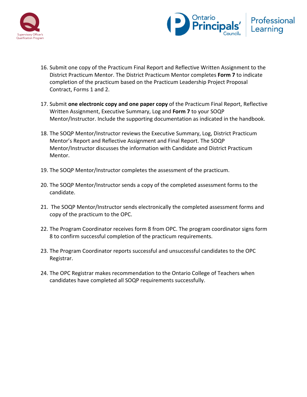



- 16. Submit one copy of the Practicum Final Report and Reflective Written Assignment to the District Practicum Mentor. The District Practicum Mentor completes Form 7 to indicate completion of the practicum based on the Practicum Leadership Project Proposal Contract, Forms 1 and 2.
- 17. Submit **one electronic copy and one paper copy** of the Practicum Final Report, Reflective Written Assignment, Executive Summary, Log and **Form 7** to your SOQP Mentor/Instructor. Include the supporting documentation as indicated in the handbook.
- 18. The SOQP Mentor/Instructor reviews the Executive Summary, Log, District Practicum Mentor's Report and Reflective Assignment and Final Report. The SOQP Mentor/Instructor discusses the information with Candidate and District Practicum Mentor.
- 19. The SOQP Mentor/Instructor completes the assessment of the practicum.
- 20. The SOQP Mentor/Instructor sends a copy of the completed assessment forms to the candidate.
- 21. The SOQP Mentor/Instructor sends electronically the completed assessment forms and copy of the practicum to the OPC.
- 22. The Program Coordinator receives form 8 from OPC. The program coordinator signs form 8 to confirm successful completion of the practicum requirements.
- 23. The Program Coordinator reports successful and unsuccessful candidates to the OPC Registrar.
- 24. The OPC Registrar makes recommendation to the Ontario College of Teachers when candidates have completed all SOQP requirements successfully.